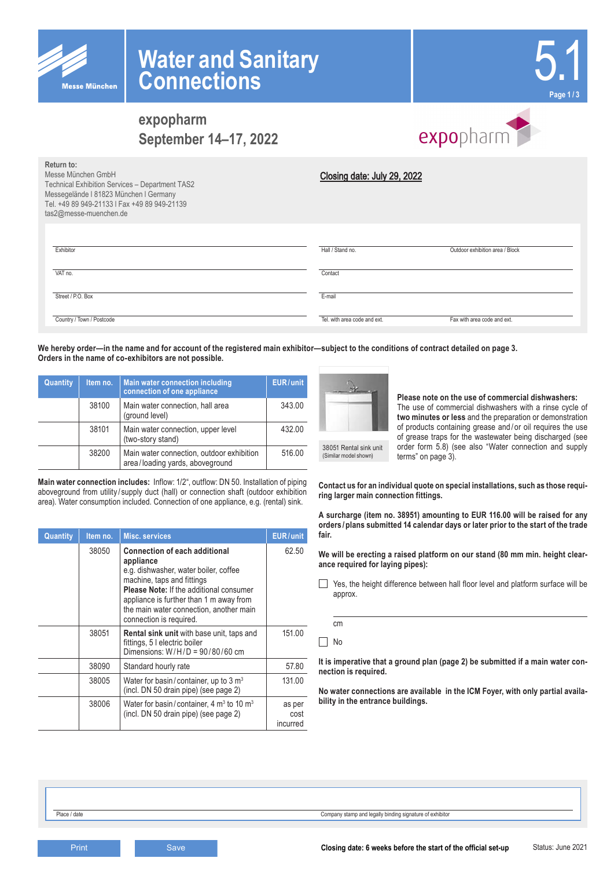

**Return to:**



# **expopharm September 14–17, 2022**



| <u>.</u><br>Messe München GmbH<br>Technical Exhibition Services - Department TAS2<br>Messegelände I 81823 München I Germany<br>Tel. +49 89 949-21133   Fax +49 89 949-21139<br>tas2@messe-muenchen.de | Closing date: July 29, 2022  |                                 |
|-------------------------------------------------------------------------------------------------------------------------------------------------------------------------------------------------------|------------------------------|---------------------------------|
| Exhibitor                                                                                                                                                                                             | Hall / Stand no.             | Outdoor exhibition area / Block |
| VAT no.                                                                                                                                                                                               | Contact                      |                                 |
| Street / P.O. Box                                                                                                                                                                                     | E-mail                       |                                 |
| Country / Town / Postcode                                                                                                                                                                             | Tel, with area code and ext. | Fax with area code and ext.     |

**We hereby order—in the name and for account of the registered main exhibitor—subject to the conditions of contract detailed on page 3. Orders in the name of co-exhibitors are not possible.**

| Quantity | Item no. | Main water connection including<br>connection of one appliance               | <b>EUR/unit</b> |
|----------|----------|------------------------------------------------------------------------------|-----------------|
|          | 38100    | Main water connection, hall area<br>(ground level)                           | 343.00          |
|          | 38101    | Main water connection, upper level<br>(two-story stand)                      | 432.00          |
|          | 38200    | Main water connection, outdoor exhibition<br>area/loading yards, aboveground | 516.00          |

**Main water connection includes:** Inflow: 1/2", outflow: DN 50. Installation of piping aboveground from utility/supply duct (hall) or connection shaft (outdoor exhibition area). Water consumption included. Connection of one appliance, e.g. (rental) sink.

| Quantity | Item no. | <b>Misc. services</b>                                                                                                                                                                                                                                                                       | EUR/unit                   |
|----------|----------|---------------------------------------------------------------------------------------------------------------------------------------------------------------------------------------------------------------------------------------------------------------------------------------------|----------------------------|
|          | 38050    | <b>Connection of each additional</b><br>appliance<br>e.g. dishwasher, water boiler, coffee<br>machine, taps and fittings<br><b>Please Note: If the additional consumer</b><br>appliance is further than 1 m away from<br>the main water connection, another main<br>connection is required. | 62.50                      |
|          | 38051    | <b>Rental sink unit</b> with base unit, taps and<br>fittings, 5 I electric boiler<br>Dimensions: $W/H/D = 90/80/60$ cm                                                                                                                                                                      | 151.00                     |
|          | 38090    | Standard hourly rate                                                                                                                                                                                                                                                                        | 57.80                      |
|          | 38005    | Water for basin/container, up to $3 \text{ m}^3$<br>(incl. DN 50 drain pipe) (see page 2)                                                                                                                                                                                                   | 131.00                     |
|          | 38006    | Water for basin/container, 4 $m3$ to 10 $m3$<br>(incl. DN 50 drain pipe) (see page 2)                                                                                                                                                                                                       | as per<br>cost<br>incurred |

38051 Rental sink unit

(Similar model shown)

**Please note on the use of commercial dishwashers:** The use of commercial dishwashers with a rinse cycle of **two minutes or less** and the preparation or demonstration of products containing grease and / or oil requires the use of grease traps for the wastewater being discharged (see order form 5.8) (see also "Water connection and supply terms" on page 3).

**Contact us for an individual quote on special installations, such as those requiring larger main connection fittings.**

**A surcharge (item no. 38951) amounting to EUR 116.00 will be raised for any orders /plans submitted 14 calendar days or later prior to the start of the trade fair.**

**We will be erecting a raised platform on our stand (80 mm min. height clearance required for laying pipes):**

Yes, the height difference between hall floor level and platform surface will be approx.

cm No

**It is imperative that a ground plan (page 2) be submitted if a main water connection is required.**

**No water connections are available in the ICM Foyer, with only partial availability in the entrance buildings.**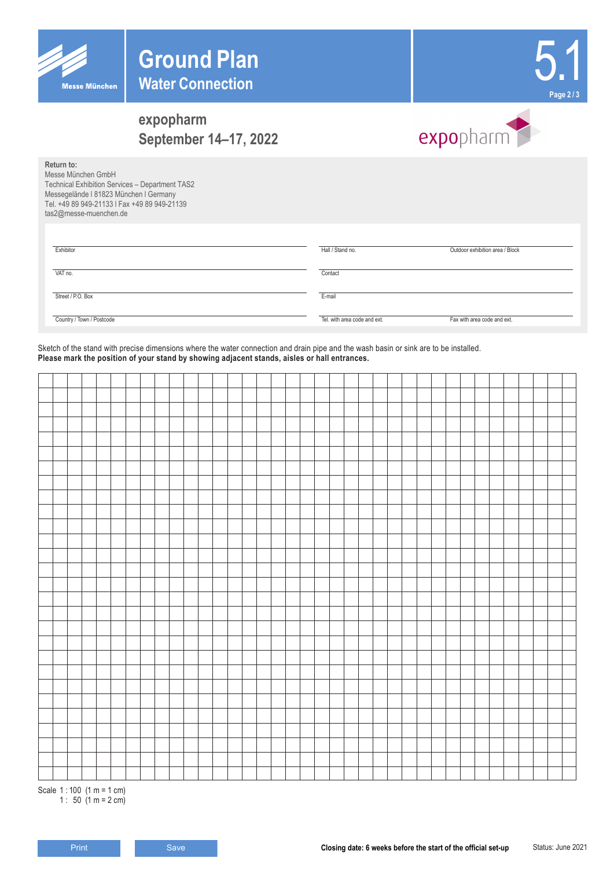



# **expopharm September 14–17, 2022**



**Return to:** Messe München GmbH

Technical Exhibition Services – Department TAS2 Messegelände l 81823 München l Germany Tel. +49 89 949-21133 l Fax +49 89 949-21139 tas2@messe-muenchen.de

| Exhibitor                 | Hall / Stand no.             | Outdoor exhibition area / Block |
|---------------------------|------------------------------|---------------------------------|
| VAT no.                   | Contact                      |                                 |
| Street / P.O. Box         | E-mail                       |                                 |
| Country / Town / Postcode | Tel, with area code and ext. | Fax with area code and ext.     |

Sketch of the stand with precise dimensions where the water connection and drain pipe and the wash basin or sink are to be installed. **Please mark the position of your stand by showing adjacent stands, aisles or hall entrances.**

Scale 1 : 100 (1 m = 1 cm) 1 : 50  $(1 m = 2 cm)$